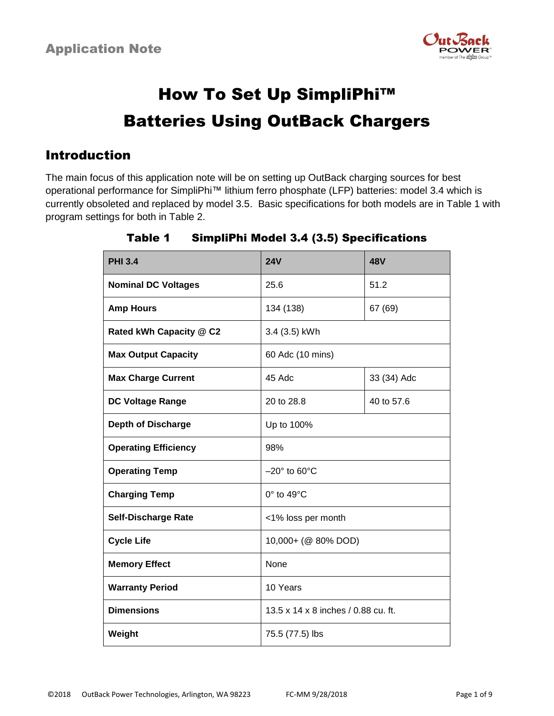

# How To Set Up SimpliPhi™ Batteries Using OutBack Chargers

### Introduction

The main focus of this application note will be on setting up OutBack charging sources for best operational performance for SimpliPhi™ lithium ferro phosphate (LFP) batteries: model 3.4 which is currently obsoleted and replaced by model 3.5. Basic specifications for both models are in Table 1 with program settings for both in Table 2.

| <b>PHI 3.4</b>              | <b>24V</b>                          | <b>48V</b>  |  |
|-----------------------------|-------------------------------------|-------------|--|
| <b>Nominal DC Voltages</b>  | 25.6                                | 51.2        |  |
| <b>Amp Hours</b>            | 134 (138)                           | 67 (69)     |  |
| Rated kWh Capacity @ C2     | 3.4 (3.5) kWh                       |             |  |
| <b>Max Output Capacity</b>  | 60 Adc (10 mins)                    |             |  |
| <b>Max Charge Current</b>   | 45 Adc                              | 33 (34) Adc |  |
| DC Voltage Range            | 20 to 28.8                          | 40 to 57.6  |  |
| <b>Depth of Discharge</b>   | Up to 100%                          |             |  |
| <b>Operating Efficiency</b> | 98%                                 |             |  |
| <b>Operating Temp</b>       | $-20^\circ$ to 60 $^\circ$ C        |             |  |
| <b>Charging Temp</b>        | $0^\circ$ to 49 $^\circ$ C          |             |  |
| <b>Self-Discharge Rate</b>  | <1% loss per month                  |             |  |
| <b>Cycle Life</b>           | 10,000+ (@ 80% DOD)                 |             |  |
| <b>Memory Effect</b>        | None                                |             |  |
| <b>Warranty Period</b>      | 10 Years                            |             |  |
| <b>Dimensions</b>           | 13.5 x 14 x 8 inches / 0.88 cu. ft. |             |  |
| Weight                      | 75.5 (77.5) lbs                     |             |  |

### Table 1 SimpliPhi Model 3.4 (3.5) Specifications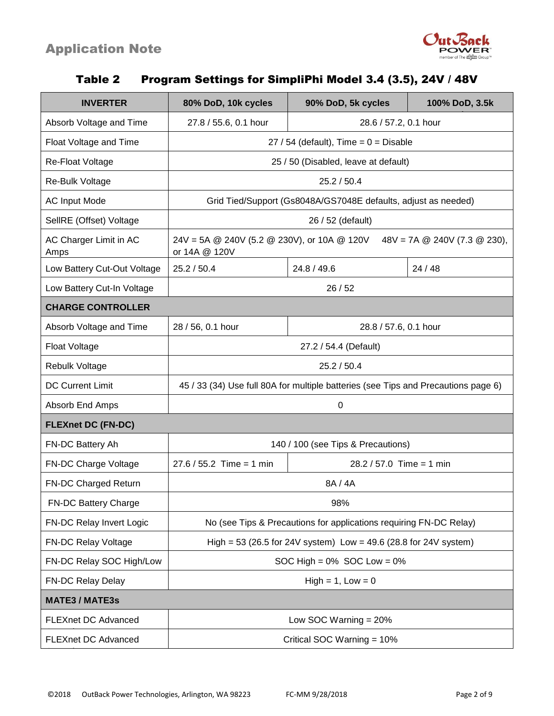

|  |  | Table 2 Program Settings for SimpliPhi Model 3.4 (3.5), 24V / 48V |  |
|--|--|-------------------------------------------------------------------|--|
|  |  |                                                                   |  |

| <b>INVERTER</b>                | 80% DoD, 10k cycles                                                                                                                           | 90% DoD, 5k cycles                 | 100% DoD, 3.5k |  |  |
|--------------------------------|-----------------------------------------------------------------------------------------------------------------------------------------------|------------------------------------|----------------|--|--|
| Absorb Voltage and Time        | 27.8 / 55.6, 0.1 hour<br>28.6 / 57.2, 0.1 hour                                                                                                |                                    |                |  |  |
| Float Voltage and Time         | $27 / 54$ (default), Time = 0 = Disable                                                                                                       |                                    |                |  |  |
| <b>Re-Float Voltage</b>        | 25 / 50 (Disabled, leave at default)                                                                                                          |                                    |                |  |  |
| Re-Bulk Voltage                | 25.2 / 50.4                                                                                                                                   |                                    |                |  |  |
| <b>AC Input Mode</b>           | Grid Tied/Support (Gs8048A/GS7048E defaults, adjust as needed)                                                                                |                                    |                |  |  |
| SellRE (Offset) Voltage        |                                                                                                                                               | 26 / 52 (default)                  |                |  |  |
| AC Charger Limit in AC<br>Amps | $24V = 5A \text{ } @ 240V (5.2 \text{ } @ 230V), or 10A \text{ } @ 120V$<br>$48V = 7A \text{ } @ 240V (7.3 \text{ } @ 230),$<br>or 14A @ 120V |                                    |                |  |  |
| Low Battery Cut-Out Voltage    | 25.2 / 50.4                                                                                                                                   | 24.8 / 49.6                        | 24/48          |  |  |
| Low Battery Cut-In Voltage     | 26/52                                                                                                                                         |                                    |                |  |  |
| <b>CHARGE CONTROLLER</b>       |                                                                                                                                               |                                    |                |  |  |
| Absorb Voltage and Time        | 28 / 56, 0.1 hour<br>28.8 / 57.6, 0.1 hour                                                                                                    |                                    |                |  |  |
| <b>Float Voltage</b>           | 27.2 / 54.4 (Default)                                                                                                                         |                                    |                |  |  |
| <b>Rebulk Voltage</b>          | 25.2 / 50.4                                                                                                                                   |                                    |                |  |  |
| <b>DC Current Limit</b>        | 45 / 33 (34) Use full 80A for multiple batteries (see Tips and Precautions page 6)                                                            |                                    |                |  |  |
| Absorb End Amps                | $\mathbf 0$                                                                                                                                   |                                    |                |  |  |
| <b>FLEXnet DC (FN-DC)</b>      |                                                                                                                                               |                                    |                |  |  |
| FN-DC Battery Ah               |                                                                                                                                               | 140 / 100 (see Tips & Precautions) |                |  |  |
| FN-DC Charge Voltage           | $27.6 / 55.2$ Time = 1 min                                                                                                                    | $28.2 / 57.0$ Time = 1 min         |                |  |  |
| FN-DC Charged Return           | 8A / 4A                                                                                                                                       |                                    |                |  |  |
| FN-DC Battery Charge           | 98%                                                                                                                                           |                                    |                |  |  |
| FN-DC Relay Invert Logic       | No (see Tips & Precautions for applications requiring FN-DC Relay)                                                                            |                                    |                |  |  |
| FN-DC Relay Voltage            | High = 53 (26.5 for 24V system) Low = 49.6 (28.8 for 24V system)                                                                              |                                    |                |  |  |
| FN-DC Relay SOC High/Low       | SOC High = $0\%$ SOC Low = $0\%$                                                                                                              |                                    |                |  |  |
| FN-DC Relay Delay              | $High = 1, Low = 0$                                                                                                                           |                                    |                |  |  |
| <b>MATE3 / MATE3s</b>          |                                                                                                                                               |                                    |                |  |  |
| <b>FLEXnet DC Advanced</b>     | Low SOC Warning $= 20\%$                                                                                                                      |                                    |                |  |  |
| <b>FLEXnet DC Advanced</b>     | Critical SOC Warning = 10%                                                                                                                    |                                    |                |  |  |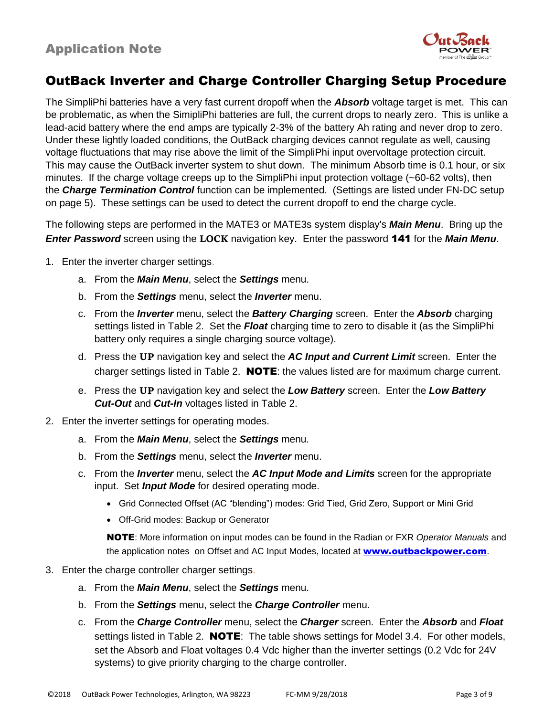

# OutBack Inverter and Charge Controller Charging Setup Procedure

The SimpliPhi batteries have a very fast current dropoff when the *Absorb* voltage target is met. This can be problematic, as when the SimipliPhi batteries are full, the current drops to nearly zero. This is unlike a lead-acid battery where the end amps are typically 2-3% of the battery Ah rating and never drop to zero. Under these lightly loaded conditions, the OutBack charging devices cannot regulate as well, causing voltage fluctuations that may rise above the limit of the SimpliPhi input overvoltage protection circuit. This may cause the OutBack inverter system to shut down. The minimum Absorb time is 0.1 hour, or six minutes. If the charge voltage creeps up to the SimpliPhi input protection voltage (~60-62 volts), then the *Charge Termination Control* function can be implemented. (Settings are listed under FN-DC setup on page 5). These settings can be used to detect the current dropoff to end the charge cycle.

The following steps are performed in the MATE3 or MATE3s system display's *Main Menu*. Bring up the *Enter Password* screen using the **LOCK** navigation key. Enter the password 141 for the *Main Menu*.

- 1. Enter the inverter charger settings.
	- a. From the *Main Menu*, select the *Settings* menu.
	- b. From the *Settings* menu, select the *Inverter* menu.
	- c. From the *Inverter* menu, select the *Battery Charging* screen. Enter the *Absorb* charging settings listed in Table 2. Set the *Float* charging time to zero to disable it (as the SimpliPhi battery only requires a single charging source voltage).
	- d. Press the **UP** navigation key and select the *AC Input and Current Limit* screen. Enter the charger settings listed in Table 2. **NOTE**: the values listed are for maximum charge current.
	- e. Press the **UP** navigation key and select the *Low Battery* screen. Enter the *Low Battery Cut-Out* and *Cut-In* voltages listed in Table 2.
- 2. Enter the inverter settings for operating modes.
	- a. From the *Main Menu*, select the *Settings* menu.
	- b. From the *Settings* menu, select the *Inverter* menu.
	- c. From the *Inverter* menu, select the *AC Input Mode and Limits* screen for the appropriate input. Set *Input Mode* for desired operating mode.
		- Grid Connected Offset (AC "blending") modes: Grid Tied, Grid Zero, Support or Mini Grid
		- Off-Grid modes: Backup or Generator

NOTE: More information on input modes can be found in the Radian or FXR *Operator Manuals* and the application notes on Offset and AC Input Modes, located at **[www.outbackpower.com](http://www.outbackpower.com/)**.

- 3. Enter the charge controller charger settings.
	- a. From the *Main Menu*, select the *Settings* menu.
	- b. From the *Settings* menu, select the *Charge Controller* menu.
	- c. From the *Charge Controller* menu, select the *Charger* screen. Enter the *Absorb* and *Float* settings listed in Table 2. **NOTE**: The table shows settings for Model 3.4. For other models, set the Absorb and Float voltages 0.4 Vdc higher than the inverter settings (0.2 Vdc for 24V systems) to give priority charging to the charge controller.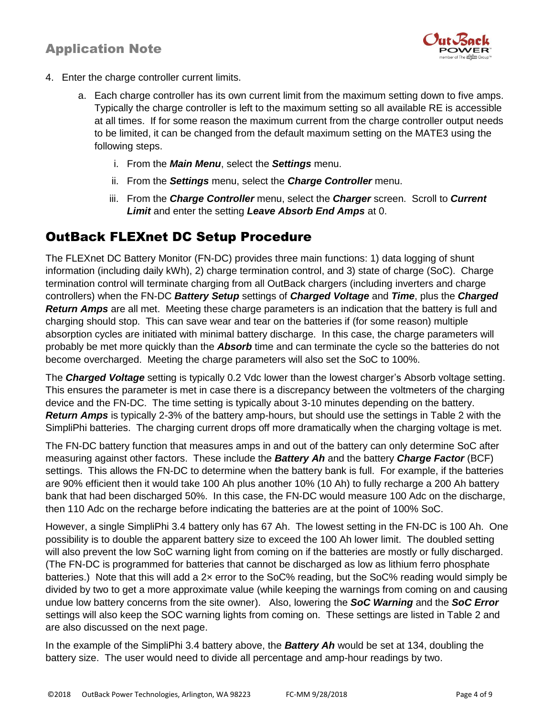

- 4. Enter the charge controller current limits.
	- a. Each charge controller has its own current limit from the maximum setting down to five amps. Typically the charge controller is left to the maximum setting so all available RE is accessible at all times. If for some reason the maximum current from the charge controller output needs to be limited, it can be changed from the default maximum setting on the MATE3 using the following steps.
		- i. From the *Main Menu*, select the *Settings* menu.
		- ii. From the *Settings* menu, select the *Charge Controller* menu.
		- iii. From the *Charge Controller* menu, select the *Charger* screen. Scroll to *Current Limit* and enter the setting *Leave Absorb End Amps* at 0.

# OutBack FLEXnet DC Setup Procedure

The FLEXnet DC Battery Monitor (FN-DC) provides three main functions: 1) data logging of shunt information (including daily kWh), 2) charge termination control, and 3) state of charge (SoC). Charge termination control will terminate charging from all OutBack chargers (including inverters and charge controllers) when the FN-DC *Battery Setup* settings of *Charged Voltage* and *Time*, plus the *Charged Return Amps* are all met. Meeting these charge parameters is an indication that the battery is full and charging should stop. This can save wear and tear on the batteries if (for some reason) multiple absorption cycles are initiated with minimal battery discharge. In this case, the charge parameters will probably be met more quickly than the *Absorb* time and can terminate the cycle so the batteries do not become overcharged. Meeting the charge parameters will also set the SoC to 100%.

The *Charged Voltage* setting is typically 0.2 Vdc lower than the lowest charger's Absorb voltage setting. This ensures the parameter is met in case there is a discrepancy between the voltmeters of the charging device and the FN-DC. The time setting is typically about 3-10 minutes depending on the battery. *Return Amps* is typically 2-3% of the battery amp-hours, but should use the settings in Table 2 with the SimpliPhi batteries. The charging current drops off more dramatically when the charging voltage is met.

The FN-DC battery function that measures amps in and out of the battery can only determine SoC after measuring against other factors. These include the *Battery Ah* and the battery *Charge Factor* (BCF) settings. This allows the FN-DC to determine when the battery bank is full. For example, if the batteries are 90% efficient then it would take 100 Ah plus another 10% (10 Ah) to fully recharge a 200 Ah battery bank that had been discharged 50%. In this case, the FN-DC would measure 100 Adc on the discharge, then 110 Adc on the recharge before indicating the batteries are at the point of 100% SoC.

However, a single SimpliPhi 3.4 battery only has 67 Ah. The lowest setting in the FN-DC is 100 Ah. One possibility is to double the apparent battery size to exceed the 100 Ah lower limit. The doubled setting will also prevent the low SoC warning light from coming on if the batteries are mostly or fully discharged. (The FN-DC is programmed for batteries that cannot be discharged as low as lithium ferro phosphate batteries.) Note that this will add a 2x error to the SoC% reading, but the SoC% reading would simply be divided by two to get a more approximate value (while keeping the warnings from coming on and causing undue low battery concerns from the site owner). Also, lowering the *SoC Warning* and the *SoC Error* settings will also keep the SOC warning lights from coming on. These settings are listed in Table 2 and are also discussed on the next page.

In the example of the SimpliPhi 3.4 battery above, the *Battery Ah* would be set at 134, doubling the battery size. The user would need to divide all percentage and amp-hour readings by two.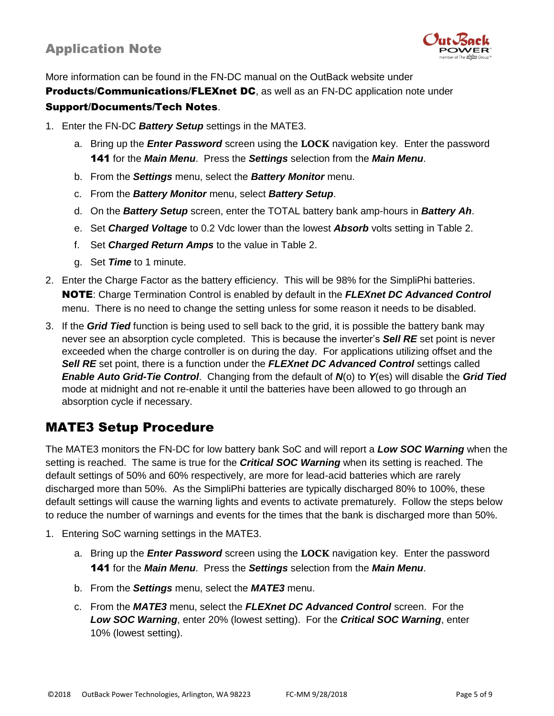

More information can be found in the FN-DC manual on the OutBack website under **Products/Communications/FLEXnet DC**, as well as an FN-DC application note under Support/Documents/Tech Notes.

- 1. Enter the FN-DC *Battery Setup* settings in the MATE3.
	- a. Bring up the *Enter Password* screen using the **LOCK** navigation key. Enter the password 141 for the *Main Menu*. Press the *Settings* selection from the *Main Menu*.
	- b. From the *Settings* menu, select the *Battery Monitor* menu.
	- c. From the *Battery Monitor* menu, select *Battery Setup*.
	- d. On the *Battery Setup* screen, enter the TOTAL battery bank amp-hours in *Battery Ah*.
	- e. Set *Charged Voltage* to 0.2 Vdc lower than the lowest *Absorb* volts setting in Table 2.
	- f. Set *Charged Return Amps* to the value in Table 2.
	- g. Set *Time* to 1 minute.
- 2. Enter the Charge Factor as the battery efficiency. This will be 98% for the SimpliPhi batteries. NOTE: Charge Termination Control is enabled by default in the *FLEXnet DC Advanced Control* menu. There is no need to change the setting unless for some reason it needs to be disabled.
- 3. If the *Grid Tied* function is being used to sell back to the grid, it is possible the battery bank may never see an absorption cycle completed. This is because the inverter's *Sell RE* set point is never exceeded when the charge controller is on during the day. For applications utilizing offset and the *Sell RE* set point, there is a function under the *FLEXnet DC Advanced Control* settings called *Enable Auto Grid-Tie Control*. Changing from the default of *N*(o) to *Y*(es) will disable the *Grid Tied* mode at midnight and not re-enable it until the batteries have been allowed to go through an absorption cycle if necessary.

### MATE3 Setup Procedure

The MATE3 monitors the FN-DC for low battery bank SoC and will report a *Low SOC Warning* when the setting is reached. The same is true for the *Critical SOC Warning* when its setting is reached. The default settings of 50% and 60% respectively, are more for lead-acid batteries which are rarely discharged more than 50%. As the SimpliPhi batteries are typically discharged 80% to 100%, these default settings will cause the warning lights and events to activate prematurely. Follow the steps below to reduce the number of warnings and events for the times that the bank is discharged more than 50%.

- 1. Entering SoC warning settings in the MATE3.
	- a. Bring up the *Enter Password* screen using the **LOCK** navigation key. Enter the password 141 for the *Main Menu*. Press the *Settings* selection from the *Main Menu*.
	- b. From the *Settings* menu, select the *MATE3* menu.
	- c. From the *MATE3* menu, select the *FLEXnet DC Advanced Control* screen. For the *Low SOC Warning*, enter 20% (lowest setting). For the *Critical SOC Warning*, enter 10% (lowest setting).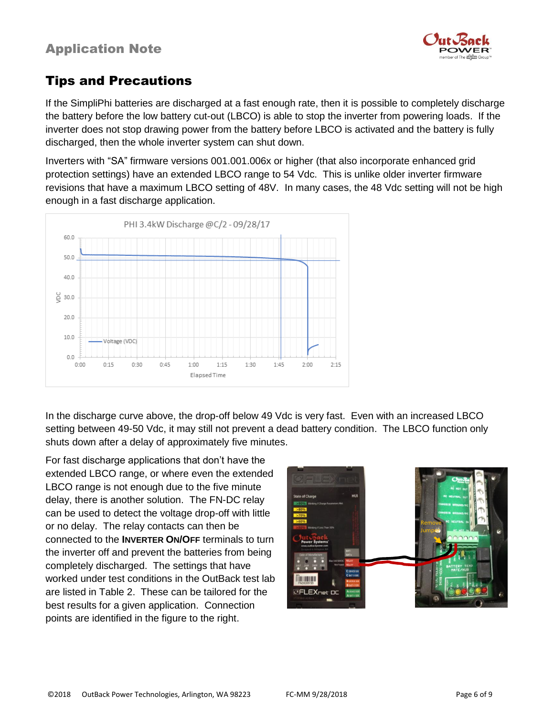

# Tips and Precautions

If the SimpliPhi batteries are discharged at a fast enough rate, then it is possible to completely discharge the battery before the low battery cut-out (LBCO) is able to stop the inverter from powering loads. If the inverter does not stop drawing power from the battery before LBCO is activated and the battery is fully discharged, then the whole inverter system can shut down.

Inverters with "SA" firmware versions 001.001.006x or higher (that also incorporate enhanced grid protection settings) have an extended LBCO range to 54 Vdc. This is unlike older inverter firmware revisions that have a maximum LBCO setting of 48V. In many cases, the 48 Vdc setting will not be high enough in a fast discharge application.



In the discharge curve above, the drop-off below 49 Vdc is very fast. Even with an increased LBCO setting between 49-50 Vdc, it may still not prevent a dead battery condition. The LBCO function only shuts down after a delay of approximately five minutes.

For fast discharge applications that don't have the extended LBCO range, or where even the extended LBCO range is not enough due to the five minute delay, there is another solution. The FN-DC relay can be used to detect the voltage drop-off with little or no delay. The relay contacts can then be connected to the **INVERTER ON/OFF** terminals to turn the inverter off and prevent the batteries from being completely discharged. The settings that have worked under test conditions in the OutBack test lab are listed in Table 2. These can be tailored for the best results for a given application. Connection points are identified in the figure to the right.

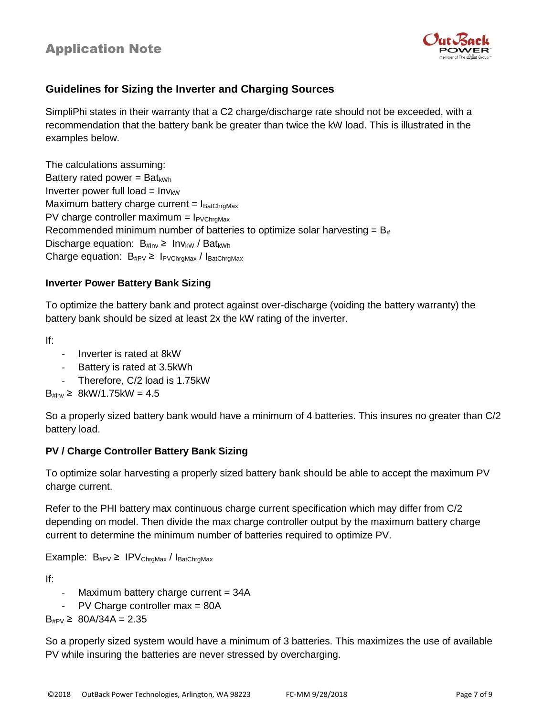

### **Guidelines for Sizing the Inverter and Charging Sources**

SimpliPhi states in their warranty that a C2 charge/discharge rate should not be exceeded, with a recommendation that the battery bank be greater than twice the kW load. This is illustrated in the examples below.

The calculations assuming: Battery rated power =  $Bat_{kWh}$ Inverter power full load =  $Inv_{kW}$ Maximum battery charge current =  $I<sub>BatChraMax</sub>$ PV charge controller maximum =  $I_{PVChraMax}$ Recommended minimum number of batteries to optimize solar harvesting =  $B_{#}$ Discharge equation:  $B_{\mu\text{Inv}} \geq 1$ nv<sub>kW</sub> / Bat<sub>kWh</sub> Charge equation:  $B_{\text{HPV}} \geq I_{\text{PVChrgMax}}/I_{\text{BatChrgMax}}$ 

#### **Inverter Power Battery Bank Sizing**

To optimize the battery bank and protect against over-discharge (voiding the battery warranty) the battery bank should be sized at least 2x the kW rating of the inverter.

If:

- Inverter is rated at 8kW
- Battery is rated at 3.5kWh
- Therefore, C/2 load is 1.75kW

 $B_{\text{Hinv}} \geq 8$ kW/1.75kW = 4.5

So a properly sized battery bank would have a minimum of 4 batteries. This insures no greater than C/2 battery load.

#### **PV / Charge Controller Battery Bank Sizing**

To optimize solar harvesting a properly sized battery bank should be able to accept the maximum PV charge current.

Refer to the PHI battery max continuous charge current specification which may differ from C/2 depending on model. Then divide the max charge controller output by the maximum battery charge current to determine the minimum number of batteries required to optimize PV.

Example:  $B_{\text{HPV}} \geq \text{IPV}_{\text{ChrqMax}} / I_{\text{BatChrqMax}}$ 

If:

- Maximum battery charge current  $= 34A$
- PV Charge controller max = 80A

 $B_{\text{HPV}} \geq 80A/34A = 2.35$ 

So a properly sized system would have a minimum of 3 batteries. This maximizes the use of available PV while insuring the batteries are never stressed by overcharging.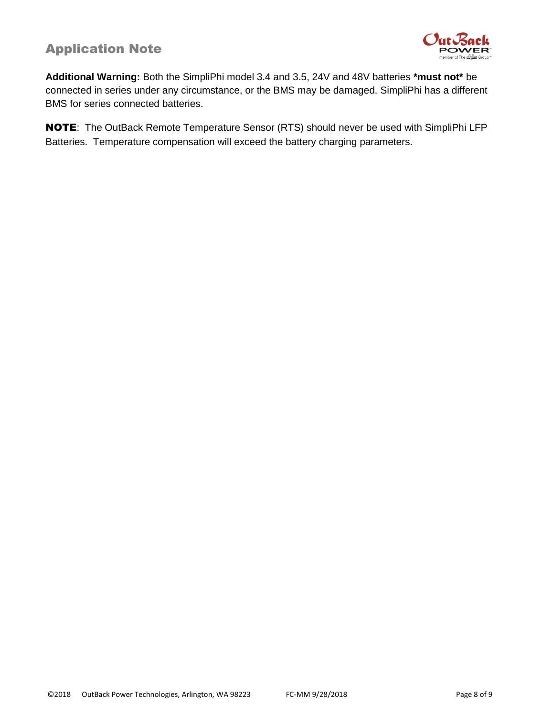

**Additional Warning:** Both the SimpliPhi model 3.4 and 3.5, 24V and 48V batteries **\*must not\*** be connected in series under any circumstance, or the BMS may be damaged. SimpliPhi has a different BMS for series connected batteries.

NOTE: The OutBack Remote Temperature Sensor (RTS) should never be used with SimpliPhi LFP Batteries. Temperature compensation will exceed the battery charging parameters.